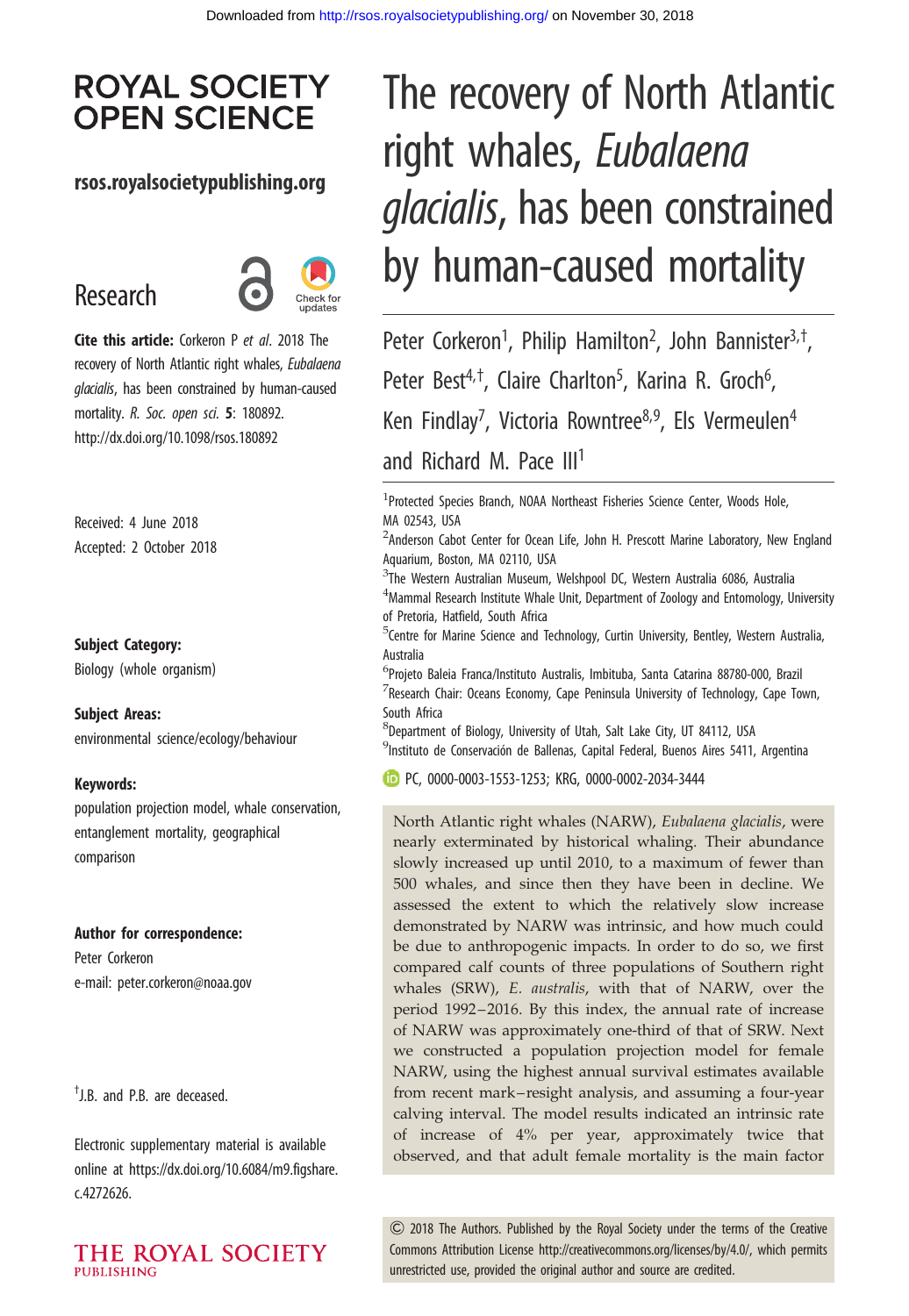## **ROYAL SOCIETY OPEN SCIENCE**

### rsos.royalsocietypublishing.org

# Research



Cite this article: Corkeron P et al. 2018 The recovery of North Atlantic right whales, Eubalaena glacialis, has been constrained by human-caused mortality. R. Soc. open sci. 5: 180892. http://dx.doi.org/10.1098/rsos.180892

Received: 4 June 2018 Accepted: 2 October 2018

#### Subject Category:

Biology (whole organism)

#### Subject Areas:

environmental science/ecology/behaviour

#### Keywords:

population projection model, whale conservation, entanglement mortality, geographical comparison

#### Author for correspondence:

Peter Corkeron e-mail: [peter.corkeron@noaa.gov](mailto:peter.corkeron@noaa.gov)

† J.B. and P.B. are deceased.

Electronic supplementary material is available online at [https://dx.doi.org/10.6084/m9.figshare.](https://dx.doi.org/10.6084/m9.figshare.c.4272626) [c.4272626.](https://dx.doi.org/10.6084/m9.figshare.c.4272626)

THE ROYAL SOCIETY **PUBLISHING** 

# The recovery of North Atlantic right whales, Eubalaena glacialis, has been constrained by human-caused mortality

Peter Corkeron<sup>1</sup>, Philip Hamilton<sup>2</sup>, John Bannister<sup>3,†</sup>, Peter Best<sup>4,†</sup>, Claire Charlton<sup>5</sup>, Karina R. Groch<sup>6</sup> , Ken Findlay<sup>7</sup>, Victoria Rowntree<sup>8,9</sup>, Els Vermeulen<sup>4</sup> and Richard M. Pace III<sup>1</sup>

<sup>1</sup>Protected Species Branch, NOAA Northeast Fisheries Science Center, Woods Hole, MA 02543, USA

- <sup>2</sup>Anderson Cabot Center for Ocean Life, John H. Prescott Marine Laboratory, New England Aquarium, Boston, MA 02110, USA
- <sup>3</sup>The Western Australian Museum, Welshpool DC, Western Australia 6086, Australia  $^4$ Mammal Research Institute Whale Unit, Department of Zoology and Entomology, University of Pretoria, Hatfield, South Africa
- <sup>5</sup>Centre for Marine Science and Technology, Curtin University, Bentley, Western Australia, Australia
- <sup>6</sup>Projeto Baleia Franca/Instituto Australis, Imbituba, Santa Catarina 88780-000, Brazil  $^7$ Research Chair: Oceans Economy, Cape Peninsula University of Technology, Cape Town, South Africa

8 Department of Biology, University of Utah, Salt Lake City, UT 84112, USA <sup>9</sup>Instituto de Conservación de Ballenas, Capital Federal, Buenos Aires 5411, Argentina

PC, [0000-0003-1553-1253;](http://orcid.org/0000-0003-1553-1253) KRG, [0000-0002-2034-3444](http://orcid.org/0000-0002-2034-3444)

North Atlantic right whales (NARW), Eubalaena glacialis, were nearly exterminated by historical whaling. Their abundance slowly increased up until 2010, to a maximum of fewer than 500 whales, and since then they have been in decline. We assessed the extent to which the relatively slow increase demonstrated by NARW was intrinsic, and how much could be due to anthropogenic impacts. In order to do so, we first compared calf counts of three populations of Southern right whales (SRW), E. australis, with that of NARW, over the period 1992–2016. By this index, the annual rate of increase of NARW was approximately one-third of that of SRW. Next we constructed a population projection model for female NARW, using the highest annual survival estimates available from recent mark– resight analysis, and assuming a four-year calving interval. The model results indicated an intrinsic rate of increase of 4% per year, approximately twice that observed, and that adult female mortality is the main factor

& 2018 The Authors. Published by the Royal Society under the terms of the Creative Commons Attribution License [http://creativecommons.org/licenses/by/4.0/, which permits](http://creativecommons.org/licenses/by/4.0/) [unrestricted use, provided the original author and source are credited.](http://creativecommons.org/licenses/by/4.0/)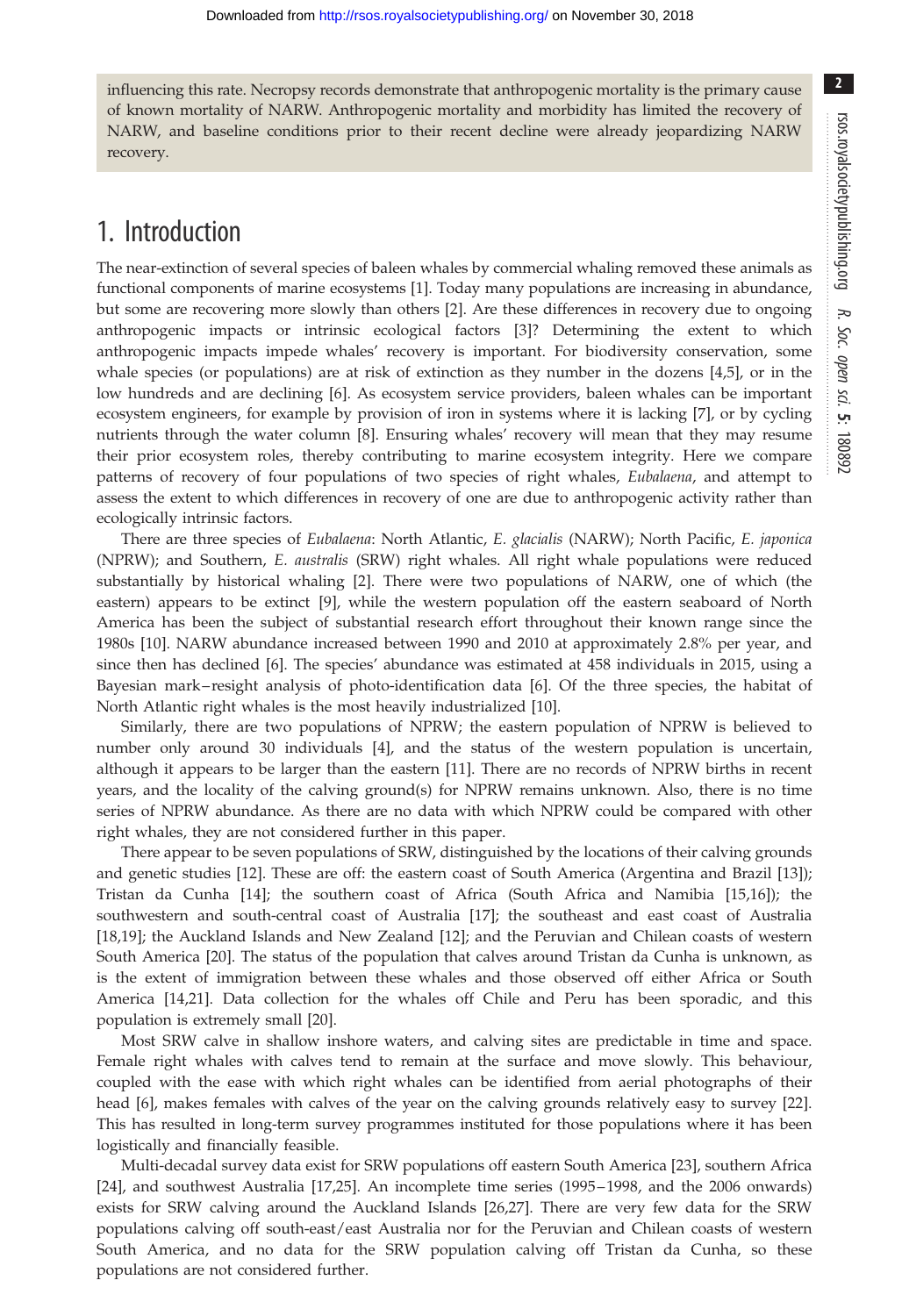influencing this rate. Necropsy records demonstrate that anthropogenic mortality is the primary cause of known mortality of NARW. Anthropogenic mortality and morbidity has limited the recovery of NARW, and baseline conditions prior to their recent decline were already jeopardizing NARW recovery.

# 1. Introduction

The near-extinction of several species of baleen whales by commercial whaling removed these animals as functional components of marine ecosystems [[1](#page-9-0)]. Today many populations are increasing in abundance, but some are recovering more slowly than others [\[2\]](#page-9-0). Are these differences in recovery due to ongoing anthropogenic impacts or intrinsic ecological factors [\[3\]](#page-9-0)? Determining the extent to which anthropogenic impacts impede whales' recovery is important. For biodiversity conservation, some whale species (or populations) are at risk of extinction as they number in the dozens [[4,5\]](#page-9-0), or in the low hundreds and are declining [[6](#page-9-0)]. As ecosystem service providers, baleen whales can be important ecosystem engineers, for example by provision of iron in systems where it is lacking [[7](#page-9-0)], or by cycling nutrients through the water column [\[8\]](#page-9-0). Ensuring whales' recovery will mean that they may resume their prior ecosystem roles, thereby contributing to marine ecosystem integrity. Here we compare patterns of recovery of four populations of two species of right whales, Eubalaena, and attempt to assess the extent to which differences in recovery of one are due to anthropogenic activity rather than ecologically intrinsic factors.

There are three species of Eubalaena: North Atlantic, E. glacialis (NARW); North Pacific, E. japonica (NPRW); and Southern, E. australis (SRW) right whales. All right whale populations were reduced substantially by historical whaling [[2](#page-9-0)]. There were two populations of NARW, one of which (the eastern) appears to be extinct [\[9](#page-9-0)], while the western population off the eastern seaboard of North America has been the subject of substantial research effort throughout their known range since the 1980s [[10\]](#page-9-0). NARW abundance increased between 1990 and 2010 at approximately 2.8% per year, and since then has declined [[6](#page-9-0)]. The species' abundance was estimated at 458 individuals in 2015, using a Bayesian mark– resight analysis of photo-identification data [\[6\]](#page-9-0). Of the three species, the habitat of North Atlantic right whales is the most heavily industrialized [\[10](#page-9-0)].

Similarly, there are two populations of NPRW; the eastern population of NPRW is believed to number only around 30 individuals [[4](#page-9-0)], and the status of the western population is uncertain, although it appears to be larger than the eastern [[11\]](#page-9-0). There are no records of NPRW births in recent years, and the locality of the calving ground(s) for NPRW remains unknown. Also, there is no time series of NPRW abundance. As there are no data with which NPRW could be compared with other right whales, they are not considered further in this paper.

There appear to be seven populations of SRW, distinguished by the locations of their calving grounds and genetic studies [[12\]](#page-9-0). These are off: the eastern coast of South America (Argentina and Brazil [\[13](#page-9-0)]); Tristan da Cunha [\[14](#page-9-0)]; the southern coast of Africa (South Africa and Namibia [[15,16\]](#page-9-0)); the southwestern and south-central coast of Australia [[17\]](#page-9-0); the southeast and east coast of Australia [\[18](#page-9-0),[19\]](#page-10-0); the Auckland Islands and New Zealand [\[12](#page-9-0)]; and the Peruvian and Chilean coasts of western South America [\[20](#page-10-0)]. The status of the population that calves around Tristan da Cunha is unknown, as is the extent of immigration between these whales and those observed off either Africa or South America [\[14](#page-9-0)[,21](#page-10-0)]. Data collection for the whales off Chile and Peru has been sporadic, and this population is extremely small [\[20](#page-10-0)].

Most SRW calve in shallow inshore waters, and calving sites are predictable in time and space. Female right whales with calves tend to remain at the surface and move slowly. This behaviour, coupled with the ease with which right whales can be identified from aerial photographs of their head [\[6\]](#page-9-0), makes females with calves of the year on the calving grounds relatively easy to survey [\[22](#page-10-0)]. This has resulted in long-term survey programmes instituted for those populations where it has been logistically and financially feasible.

Multi-decadal survey data exist for SRW populations off eastern South America [\[23](#page-10-0)], southern Africa [\[24](#page-10-0)], and southwest Australia [[17,](#page-9-0)[25](#page-10-0)]. An incomplete time series (1995 –1998, and the 2006 onwards) exists for SRW calving around the Auckland Islands [[26,27](#page-10-0)]. There are very few data for the SRW populations calving off south-east/east Australia nor for the Peruvian and Chilean coasts of western South America, and no data for the SRW population calving off Tristan da Cunha, so these populations are not considered further.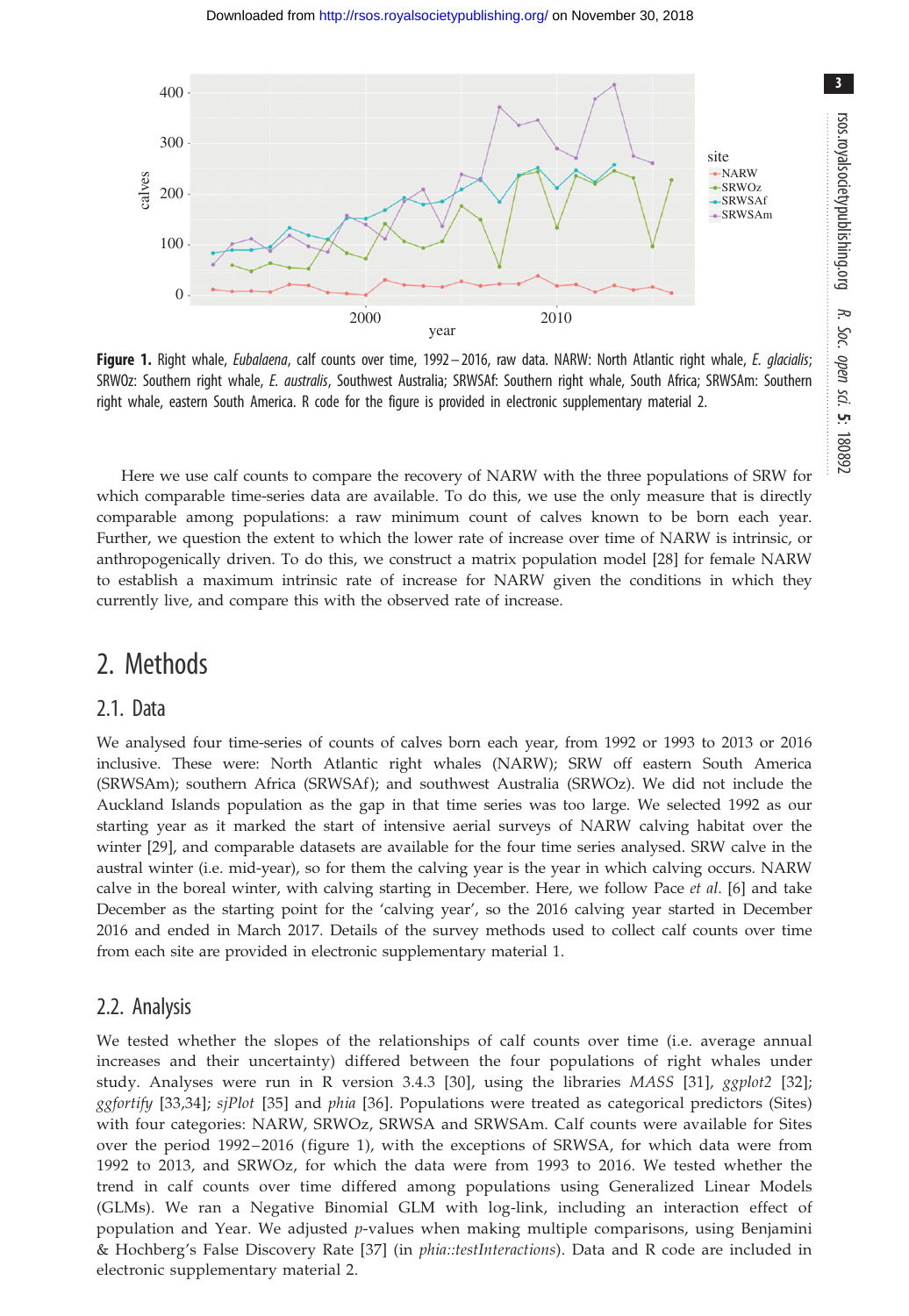<span id="page-2-0"></span>

Figure 1. Right whale, Eubalaena, calf counts over time, 1992 - 2016, raw data. NARW: North Atlantic right whale, E. glacialis; SRWOz: Southern right whale, E. australis, Southwest Australia; SRWSAf: Southern right whale, South Africa; SRWSAm: Southern right whale, eastern South America. R code for the figure is provided in electronic supplementary material 2.

Here we use calf counts to compare the recovery of NARW with the three populations of SRW for which comparable time-series data are available. To do this, we use the only measure that is directly comparable among populations: a raw minimum count of calves known to be born each year. Further, we question the extent to which the lower rate of increase over time of NARW is intrinsic, or anthropogenically driven. To do this, we construct a matrix population model [[28\]](#page-10-0) for female NARW to establish a maximum intrinsic rate of increase for NARW given the conditions in which they currently live, and compare this with the observed rate of increase.

### 2. Methods

#### 2.1. Data

We analysed four time-series of counts of calves born each year, from 1992 or 1993 to 2013 or 2016 inclusive. These were: North Atlantic right whales (NARW); SRW off eastern South America (SRWSAm); southern Africa (SRWSAf ); and southwest Australia (SRWOz). We did not include the Auckland Islands population as the gap in that time series was too large. We selected 1992 as our starting year as it marked the start of intensive aerial surveys of NARW calving habitat over the winter [\[29](#page-10-0)], and comparable datasets are available for the four time series analysed. SRW calve in the austral winter (i.e. mid-year), so for them the calving year is the year in which calving occurs. NARW calve in the boreal winter, with calving starting in December. Here, we follow Pace et al. [[6](#page-9-0)] and take December as the starting point for the 'calving year', so the 2016 calving year started in December 2016 and ended in March 2017. Details of the survey methods used to collect calf counts over time from each site are provided in electronic supplementary material 1.

#### 2.2. Analysis

We tested whether the slopes of the relationships of calf counts over time (i.e. average annual increases and their uncertainty) differed between the four populations of right whales under study. Analyses were run in R version 3.4.3 [\[30\]](#page-10-0), using the libraries MASS [\[31\]](#page-10-0), ggplot2 [[32](#page-10-0)]; ggfortify [[33,34\]](#page-10-0); sjPlot [[35\]](#page-10-0) and phia [\[36\]](#page-10-0). Populations were treated as categorical predictors (Sites) with four categories: NARW, SRWOz, SRWSA and SRWSAm. Calf counts were available for Sites over the period 1992 – 2016 ( figure 1), with the exceptions of SRWSA, for which data were from 1992 to 2013, and SRWOz, for which the data were from 1993 to 2016. We tested whether the trend in calf counts over time differed among populations using Generalized Linear Models (GLMs). We ran a Negative Binomial GLM with log-link, including an interaction effect of population and Year. We adjusted p-values when making multiple comparisons, using Benjamini & Hochberg's False Discovery Rate [[37](#page-10-0)] (in phia::testInteractions). Data and R code are included in electronic supplementary material 2.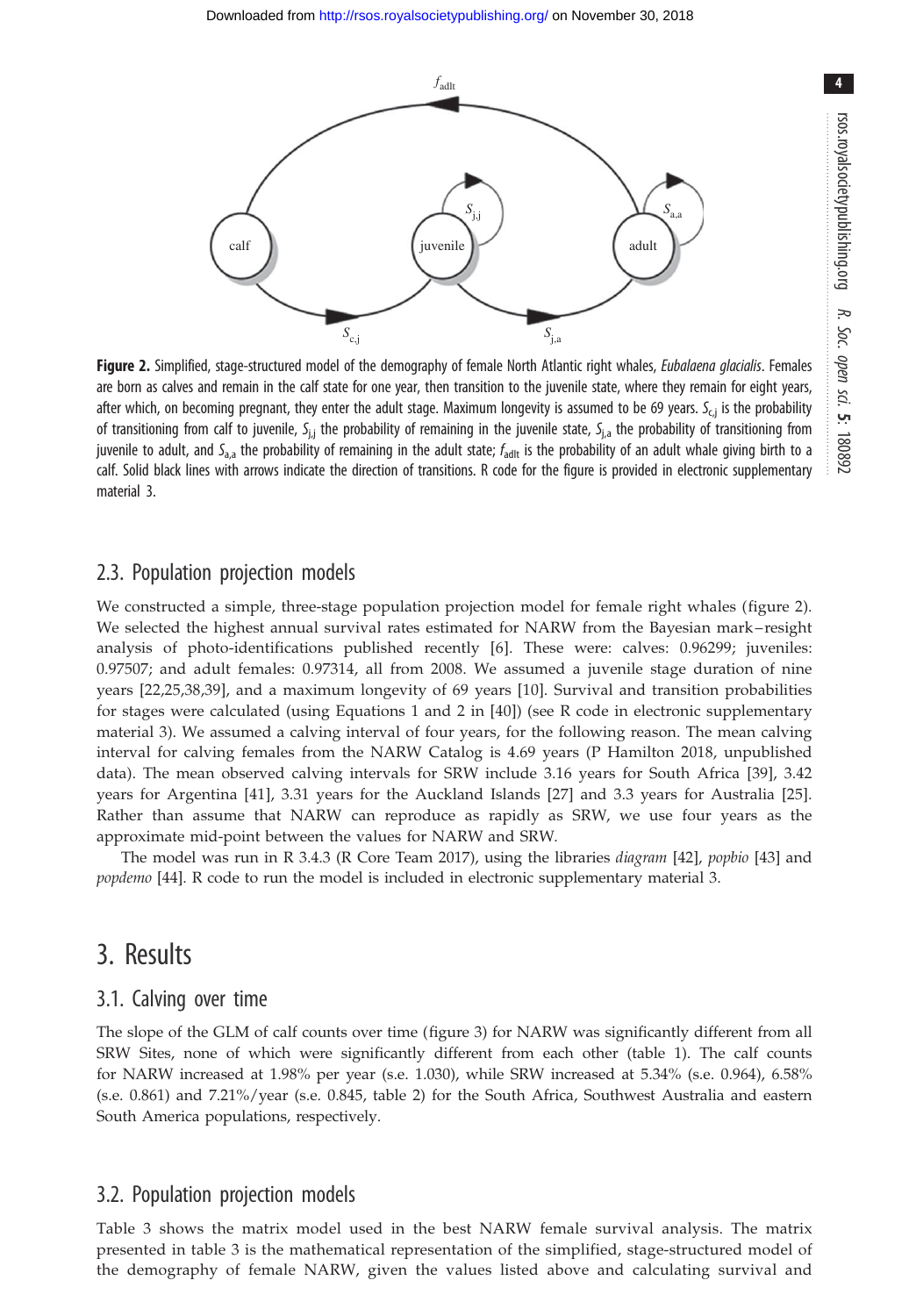

<span id="page-3-0"></span>

Figure 2. Simplified, stage-structured model of the demography of female North Atlantic right whales, Eubalaena glacialis. Females are born as calves and remain in the calf state for one year, then transition to the juvenile state, where they remain for eight years, after which, on becoming pregnant, they enter the adult stage. Maximum longevity is assumed to be 69 years. S<sub>cj</sub> is the probability of transitioning from calf to juvenile, S<sub>i,j</sub> the probability of remaining in the juvenile state, S<sub>i,a</sub> the probability of transitioning from juvenile to adult, and S<sub>a,a</sub> the probability of remaining in the adult state;  $f_{\text{adlt}}$  is the probability of an adult whale giving birth to a calf. Solid black lines with arrows indicate the direction of transitions. R code for the figure is provided in electronic supplementary material 3.

### 2.3. Population projection models

We constructed a simple, three-stage population projection model for female right whales ( figure 2). We selected the highest annual survival rates estimated for NARW from the Bayesian mark – resight analysis of photo-identifications published recently [[6](#page-9-0)]. These were: calves: 0.96299; juveniles: 0.97507; and adult females: 0.97314, all from 2008. We assumed a juvenile stage duration of nine years [\[22](#page-10-0),[25,38](#page-10-0),[39\]](#page-10-0), and a maximum longevity of 69 years [\[10\]](#page-9-0). Survival and transition probabilities for stages were calculated (using Equations 1 and 2 in [[40\]](#page-10-0)) (see R code in electronic supplementary material 3). We assumed a calving interval of four years, for the following reason. The mean calving interval for calving females from the NARW Catalog is 4.69 years (P Hamilton 2018, unpublished data). The mean observed calving intervals for SRW include 3.16 years for South Africa [[39](#page-10-0)], 3.42 years for Argentina [\[41\]](#page-10-0), 3.31 years for the Auckland Islands [\[27\]](#page-10-0) and 3.3 years for Australia [[25](#page-10-0)]. Rather than assume that NARW can reproduce as rapidly as SRW, we use four years as the approximate mid-point between the values for NARW and SRW.

The model was run in R 3.4.3 (R Core Team 2017), using the libraries diagram [\[42](#page-10-0)], popbio [\[43](#page-10-0)] and popdemo [\[44](#page-10-0)]. R code to run the model is included in electronic supplementary material 3.

### 3. Results

#### 3.1. Calving over time

The slope of the GLM of calf counts over time ([figure 3](#page-4-0)) for NARW was significantly different from all SRW Sites, none of which were significantly different from each other [\(table 1\)](#page-4-0). The calf counts for NARW increased at 1.98% per year (s.e. 1.030), while SRW increased at 5.34% (s.e. 0.964), 6.58% (s.e. 0.861) and 7.21%/year (s.e. 0.845, [table 2\)](#page-5-0) for the South Africa, Southwest Australia and eastern South America populations, respectively.

### 3.2. Population projection models

[Table 3](#page-5-0) shows the matrix model used in the best NARW female survival analysis. The matrix presented in [table 3](#page-5-0) is the mathematical representation of the simplified, stage-structured model of the demography of female NARW, given the values listed above and calculating survival and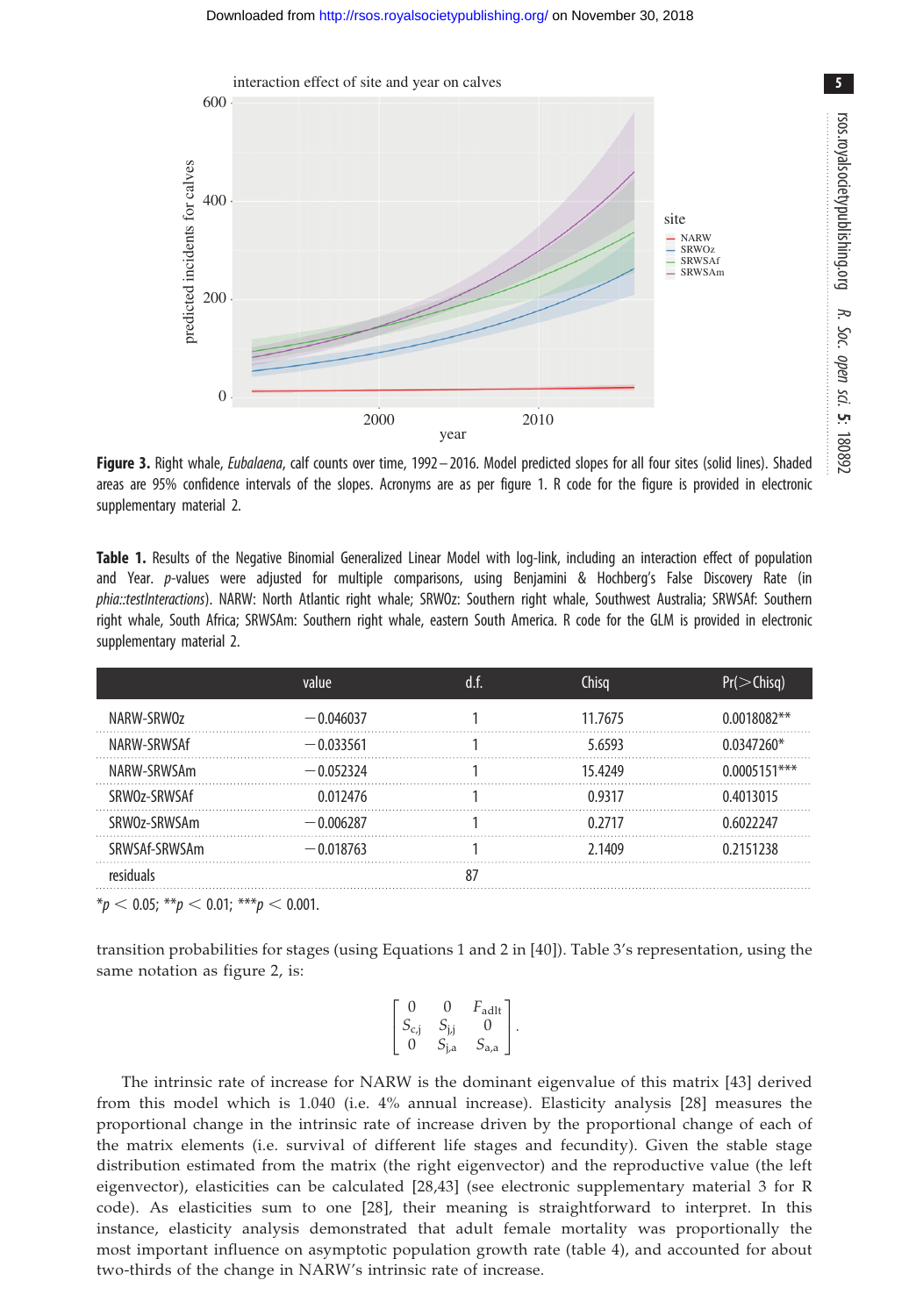<span id="page-4-0"></span>

Figure 3. Right whale, Eubalaena, calf counts over time, 1992-2016. Model predicted slopes for all four sites (solid lines). Shaded areas are 95% confidence intervals of the slopes. Acronyms are as per [figure 1](#page-2-0). R code for the figure is provided in electronic supplementary material 2.

Table 1. Results of the Negative Binomial Generalized Linear Model with log-link, including an interaction effect of population and Year. p-values were adjusted for multiple comparisons, using Benjamini & Hochberg's False Discovery Rate (in phia::testInteractions). NARW: North Atlantic right whale; SRWOz: Southern right whale, Southwest Australia; SRWSAf: Southern right whale, South Africa; SRWSAm: Southern right whale, eastern South America. R code for the GLM is provided in electronic supplementary material 2.

|               | value       | d.f. | Chisa   | $Pr($ > Chisq) |
|---------------|-------------|------|---------|----------------|
| NARW-SRWOz    | $-0.046037$ |      | 11.7675 | $0.0018082**$  |
| NARW-SRWSAf   | $-0.033561$ |      | 5.6593  | $0.0347260*$   |
| NARW-SRWSAm   | $-0.052324$ |      | 15.4249 | 0.0005151***   |
| SRW0z-SRWSAf  | 0.012476    |      | 09317   | 0.4013015      |
| SRW0z-SRWSAm  | $-0.006287$ |      | 0 2717  | በ 6022247      |
| SRWSAf-SRWSAm | $-0.018763$ |      | 2.1409  | 0 2151238      |
| resi          |             |      |         |                |

 $*_{p}$  < 0.05;  $*_{p}$  < 0.01;  $*_{p}$  < 0.001.

transition probabilities for stages (using Equations 1 and 2 in [[40](#page-10-0)]). [Table 3](#page-5-0)'s representation, using the same notation as [figure 2](#page-3-0), is:

| D         | í)  | $F_{\text{adlt}}$ |  |
|-----------|-----|-------------------|--|
| $S_{c,j}$ | Л   | 0                 |  |
|           | i,a | $S_{\rm a,a}$     |  |

The intrinsic rate of increase for NARW is the dominant eigenvalue of this matrix [[43\]](#page-10-0) derived from this model which is 1.040 (i.e. 4% annual increase). Elasticity analysis [[28](#page-10-0)] measures the proportional change in the intrinsic rate of increase driven by the proportional change of each of the matrix elements (i.e. survival of different life stages and fecundity). Given the stable stage distribution estimated from the matrix (the right eigenvector) and the reproductive value (the left eigenvector), elasticities can be calculated [[28,43\]](#page-10-0) (see electronic supplementary material 3 for R code). As elasticities sum to one [[28](#page-10-0)], their meaning is straightforward to interpret. In this instance, elasticity analysis demonstrated that adult female mortality was proportionally the most important influence on asymptotic population growth rate ([table 4](#page-5-0)), and accounted for about two-thirds of the change in NARW's intrinsic rate of increase.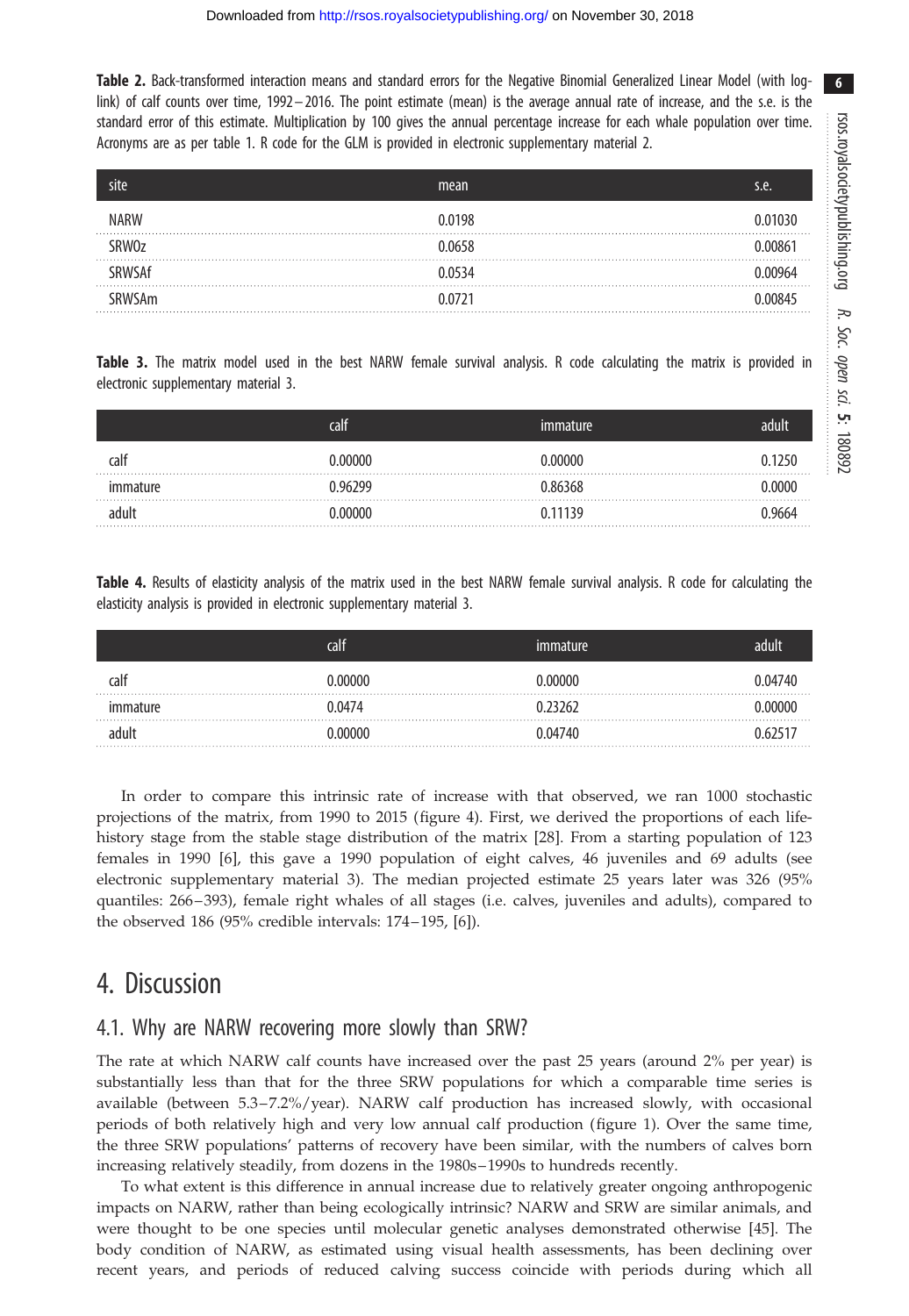<span id="page-5-0"></span>Table 2. Back-transformed interaction means and standard errors for the Negative Binomial Generalized Linear Model (with loglink) of calf counts over time, 1992– 2016. The point estimate (mean) is the average annual rate of increase, and the s.e. is the standard error of this estimate. Multiplication by 100 gives the annual percentage increase for each whale population over time. Acronyms are as per [table 1.](#page-4-0) R code for the GLM is provided in electronic supplementary material 2.

| site          | mean          | s.e. |
|---------------|---------------|------|
| NARW          | 0.0198        |      |
| SRW0z         | <u>በ በ658</u> |      |
| SRWSAf        | 00534         |      |
| <b>SRWSAm</b> | 0.0721        |      |

Table 3. The matrix model used in the best NARW female survival analysis. R code calculating the matrix is provided in electronic supplementary material 3.

|          | <b>call</b> | ımmature |      |
|----------|-------------|----------|------|
| calf     | ) ᲘᲘᲘᲘᲘ     | Ი ᲘᲘᲘᲘᲘ  | 1750 |
| immature | በ ባ67ባባ     | 0.86368  | 0000 |
| adult    | ) በበበበበ     | 0.11139  | 9664 |

Table 4. Results of elasticity analysis of the matrix used in the best NARW female survival analysis. R code for calculating the elasticity analysis is provided in electronic supplementary material 3.

|      | calt   |         | adult |
|------|--------|---------|-------|
| calf |        |         |       |
|      | በ በ474 |         |       |
|      |        | ነ በ474በ |       |

In order to compare this intrinsic rate of increase with that observed, we ran 1000 stochastic projections of the matrix, from 1990 to 2015 [\(figure 4](#page-6-0)). First, we derived the proportions of each lifehistory stage from the stable stage distribution of the matrix [[28\]](#page-10-0). From a starting population of 123 females in 1990 [[6](#page-9-0)], this gave a 1990 population of eight calves, 46 juveniles and 69 adults (see electronic supplementary material 3). The median projected estimate 25 years later was 326 (95% quantiles: 266 –393), female right whales of all stages (i.e. calves, juveniles and adults), compared to the observed 186 (95% credible intervals: 174 –195, [\[6\]](#page-9-0)).

# 4. Discussion

### 4.1. Why are NARW recovering more slowly than SRW?

The rate at which NARW calf counts have increased over the past 25 years (around 2% per year) is substantially less than that for the three SRW populations for which a comparable time series is available (between 5.3–7.2%/year). NARW calf production has increased slowly, with occasional periods of both relatively high and very low annual calf production ([figure 1](#page-2-0)). Over the same time, the three SRW populations' patterns of recovery have been similar, with the numbers of calves born increasing relatively steadily, from dozens in the 1980s–1990s to hundreds recently.

To what extent is this difference in annual increase due to relatively greater ongoing anthropogenic impacts on NARW, rather than being ecologically intrinsic? NARW and SRW are similar animals, and were thought to be one species until molecular genetic analyses demonstrated otherwise [\[45](#page-10-0)]. The body condition of NARW, as estimated using visual health assessments, has been declining over recent years, and periods of reduced calving success coincide with periods during which all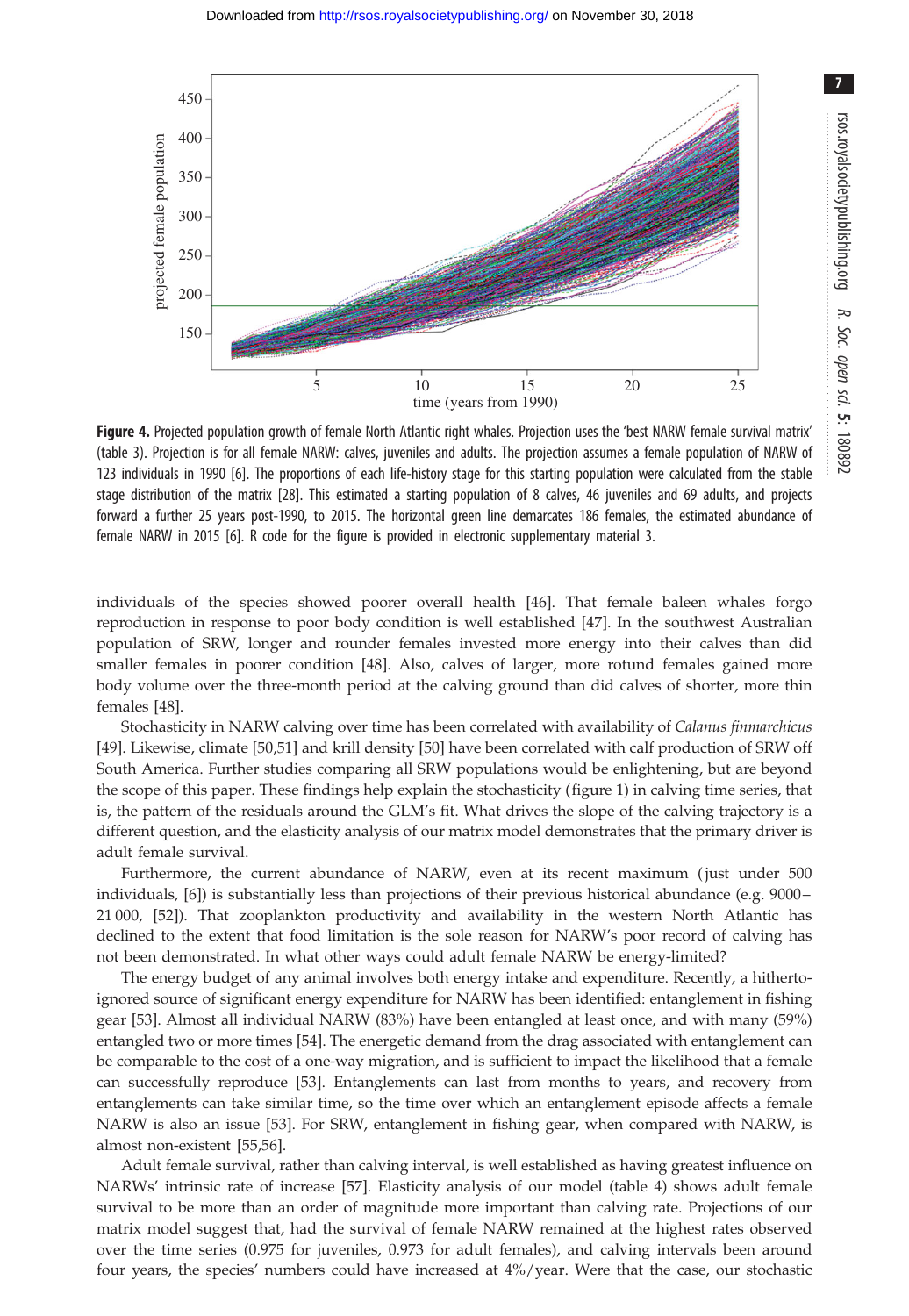<span id="page-6-0"></span>

Figure 4. Projected population growth of female North Atlantic right whales. Projection uses the 'best NARW female survival matrix' [\(table 3](#page-5-0)). Projection is for all female NARW: calves, juveniles and adults. The projection assumes a female population of NARW of 123 individuals in 1990 [\[6\]](#page-9-0). The proportions of each life-history stage for this starting population were calculated from the stable stage distribution of the matrix [\[28\]](#page-10-0). This estimated a starting population of 8 calves, 46 juveniles and 69 adults, and projects forward a further 25 years post-1990, to 2015. The horizontal green line demarcates 186 females, the estimated abundance of female NARW in 2015 [\[6\]](#page-9-0). R code for the figure is provided in electronic supplementary material 3.

individuals of the species showed poorer overall health [[46\]](#page-10-0). That female baleen whales forgo reproduction in response to poor body condition is well established [[47\]](#page-10-0). In the southwest Australian population of SRW, longer and rounder females invested more energy into their calves than did smaller females in poorer condition [[48\]](#page-10-0). Also, calves of larger, more rotund females gained more body volume over the three-month period at the calving ground than did calves of shorter, more thin females [\[48](#page-10-0)].

Stochasticity in NARW calving over time has been correlated with availability of Calanus finmarchicus [\[49](#page-10-0)]. Likewise, climate [[50,51](#page-10-0)] and krill density [[50\]](#page-10-0) have been correlated with calf production of SRW off South America. Further studies comparing all SRW populations would be enlightening, but are beyond the scope of this paper. These findings help explain the stochasticity ([figure 1](#page-2-0)) in calving time series, that is, the pattern of the residuals around the GLM's fit. What drives the slope of the calving trajectory is a different question, and the elasticity analysis of our matrix model demonstrates that the primary driver is adult female survival.

Furthermore, the current abundance of NARW, even at its recent maximum ( just under 500 individuals, [\[6\]](#page-9-0)) is substantially less than projections of their previous historical abundance (e.g. 9000– 21 000, [[52\]](#page-10-0)). That zooplankton productivity and availability in the western North Atlantic has declined to the extent that food limitation is the sole reason for NARW's poor record of calving has not been demonstrated. In what other ways could adult female NARW be energy-limited?

The energy budget of any animal involves both energy intake and expenditure. Recently, a hithertoignored source of significant energy expenditure for NARW has been identified: entanglement in fishing gear [\[53](#page-10-0)]. Almost all individual NARW (83%) have been entangled at least once, and with many (59%) entangled two or more times [\[54](#page-10-0)]. The energetic demand from the drag associated with entanglement can be comparable to the cost of a one-way migration, and is sufficient to impact the likelihood that a female can successfully reproduce [[53\]](#page-10-0). Entanglements can last from months to years, and recovery from entanglements can take similar time, so the time over which an entanglement episode affects a female NARW is also an issue [[53\]](#page-10-0). For SRW, entanglement in fishing gear, when compared with NARW, is almost non-existent [\[55,56](#page-10-0)].

Adult female survival, rather than calving interval, is well established as having greatest influence on NARWs' intrinsic rate of increase [\[57](#page-10-0)]. Elasticity analysis of our model ([table 4](#page-5-0)) shows adult female survival to be more than an order of magnitude more important than calving rate. Projections of our matrix model suggest that, had the survival of female NARW remained at the highest rates observed over the time series (0.975 for juveniles, 0.973 for adult females), and calving intervals been around four years, the species' numbers could have increased at 4%/year. Were that the case, our stochastic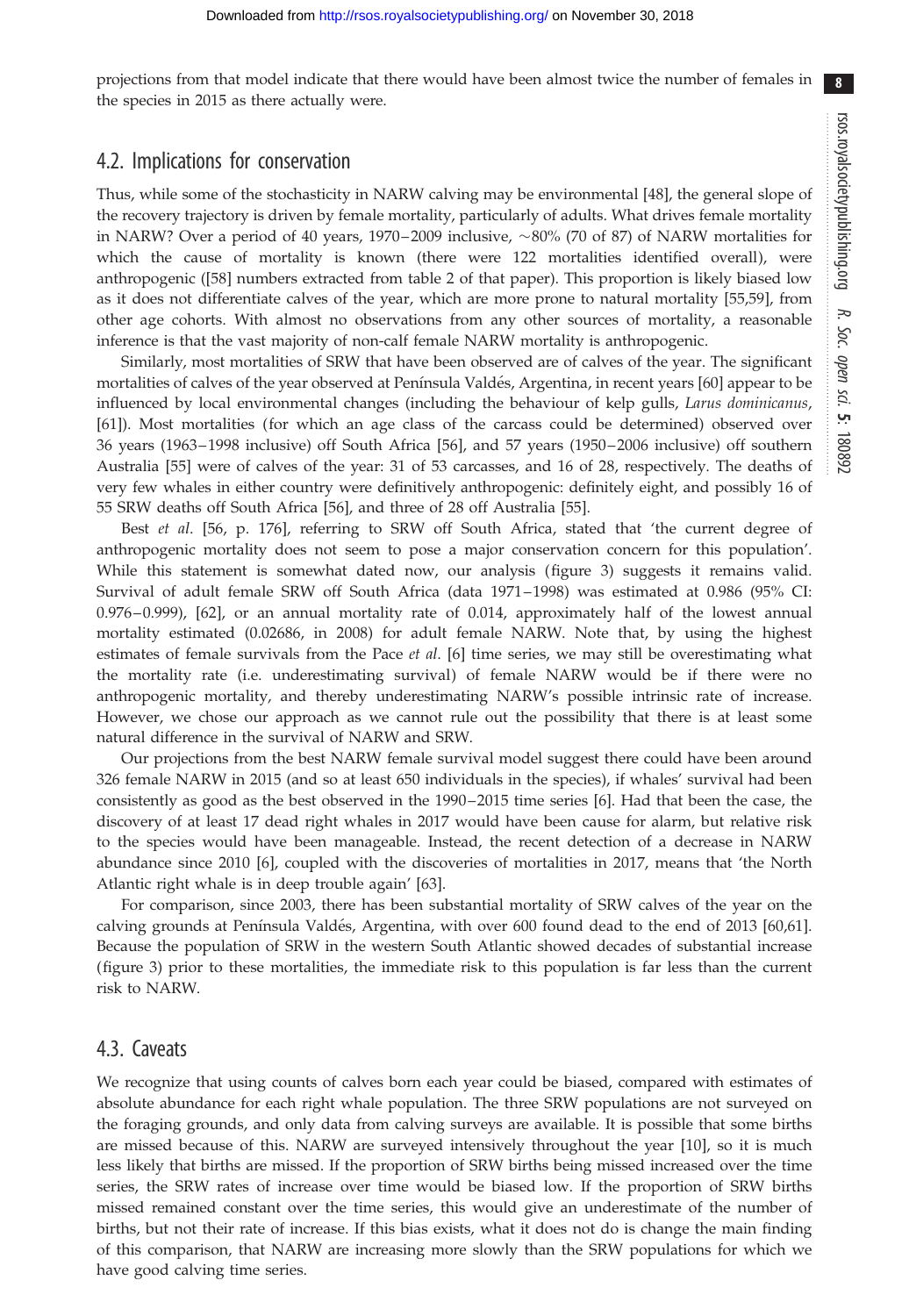projections from that model indicate that there would have been almost twice the number of females in the species in 2015 as there actually were.

### 4.2. Implications for conservation

Thus, while some of the stochasticity in NARW calving may be environmental [\[48](#page-10-0)], the general slope of the recovery trajectory is driven by female mortality, particularly of adults. What drives female mortality in NARW? Over a period of 40 years, 1970–2009 inclusive,  $\sim$ 80% (70 of 87) of NARW mortalities for which the cause of mortality is known (there were 122 mortalities identified overall), were anthropogenic ([\[58](#page-10-0)] numbers extracted from table 2 of that paper). This proportion is likely biased low as it does not differentiate calves of the year, which are more prone to natural mortality [[55,59](#page-10-0)], from other age cohorts. With almost no observations from any other sources of mortality, a reasonable inference is that the vast majority of non-calf female NARW mortality is anthropogenic.

Similarly, most mortalities of SRW that have been observed are of calves of the year. The significant mortalities of calves of the year observed at Península Valdés, Argentina, in recent years [[60\]](#page-10-0) appear to be influenced by local environmental changes (including the behaviour of kelp gulls, Larus dominicanus, [\[61](#page-10-0)]). Most mortalities (for which an age class of the carcass could be determined) observed over 36 years (1963– 1998 inclusive) off South Africa [[56\]](#page-10-0), and 57 years (1950–2006 inclusive) off southern Australia [[55\]](#page-10-0) were of calves of the year: 31 of 53 carcasses, and 16 of 28, respectively. The deaths of very few whales in either country were definitively anthropogenic: definitely eight, and possibly 16 of 55 SRW deaths off South Africa [[56\]](#page-10-0), and three of 28 off Australia [\[55](#page-10-0)].

Best et al. [\[56](#page-10-0), p. 176], referring to SRW off South Africa, stated that 'the current degree of anthropogenic mortality does not seem to pose a major conservation concern for this population'. While this statement is somewhat dated now, our analysis ([figure 3\)](#page-4-0) suggests it remains valid. Survival of adult female SRW off South Africa (data 1971–1998) was estimated at 0.986 (95% CI: 0.976–0.999), [\[62](#page-11-0)], or an annual mortality rate of 0.014, approximately half of the lowest annual mortality estimated (0.02686, in 2008) for adult female NARW. Note that, by using the highest estimates of female survivals from the Pace et al. [[6](#page-9-0)] time series, we may still be overestimating what the mortality rate (i.e. underestimating survival) of female NARW would be if there were no anthropogenic mortality, and thereby underestimating NARW's possible intrinsic rate of increase. However, we chose our approach as we cannot rule out the possibility that there is at least some natural difference in the survival of NARW and SRW.

Our projections from the best NARW female survival model suggest there could have been around 326 female NARW in 2015 (and so at least 650 individuals in the species), if whales' survival had been consistently as good as the best observed in the 1990–2015 time series [[6](#page-9-0)]. Had that been the case, the discovery of at least 17 dead right whales in 2017 would have been cause for alarm, but relative risk to the species would have been manageable. Instead, the recent detection of a decrease in NARW abundance since 2010 [\[6\]](#page-9-0), coupled with the discoveries of mortalities in 2017, means that 'the North Atlantic right whale is in deep trouble again' [[63](#page-11-0)].

For comparison, since 2003, there has been substantial mortality of SRW calves of the year on the calving grounds at Península Valdés, Argentina, with over 600 found dead to the end of 2013 [\[60,61](#page-10-0)]. Because the population of SRW in the western South Atlantic showed decades of substantial increase [\(figure 3](#page-4-0)) prior to these mortalities, the immediate risk to this population is far less than the current risk to NARW.

### 4.3. Caveats

We recognize that using counts of calves born each year could be biased, compared with estimates of absolute abundance for each right whale population. The three SRW populations are not surveyed on the foraging grounds, and only data from calving surveys are available. It is possible that some births are missed because of this. NARW are surveyed intensively throughout the year [[10\]](#page-9-0), so it is much less likely that births are missed. If the proportion of SRW births being missed increased over the time series, the SRW rates of increase over time would be biased low. If the proportion of SRW births missed remained constant over the time series, this would give an underestimate of the number of births, but not their rate of increase. If this bias exists, what it does not do is change the main finding of this comparison, that NARW are increasing more slowly than the SRW populations for which we have good calving time series.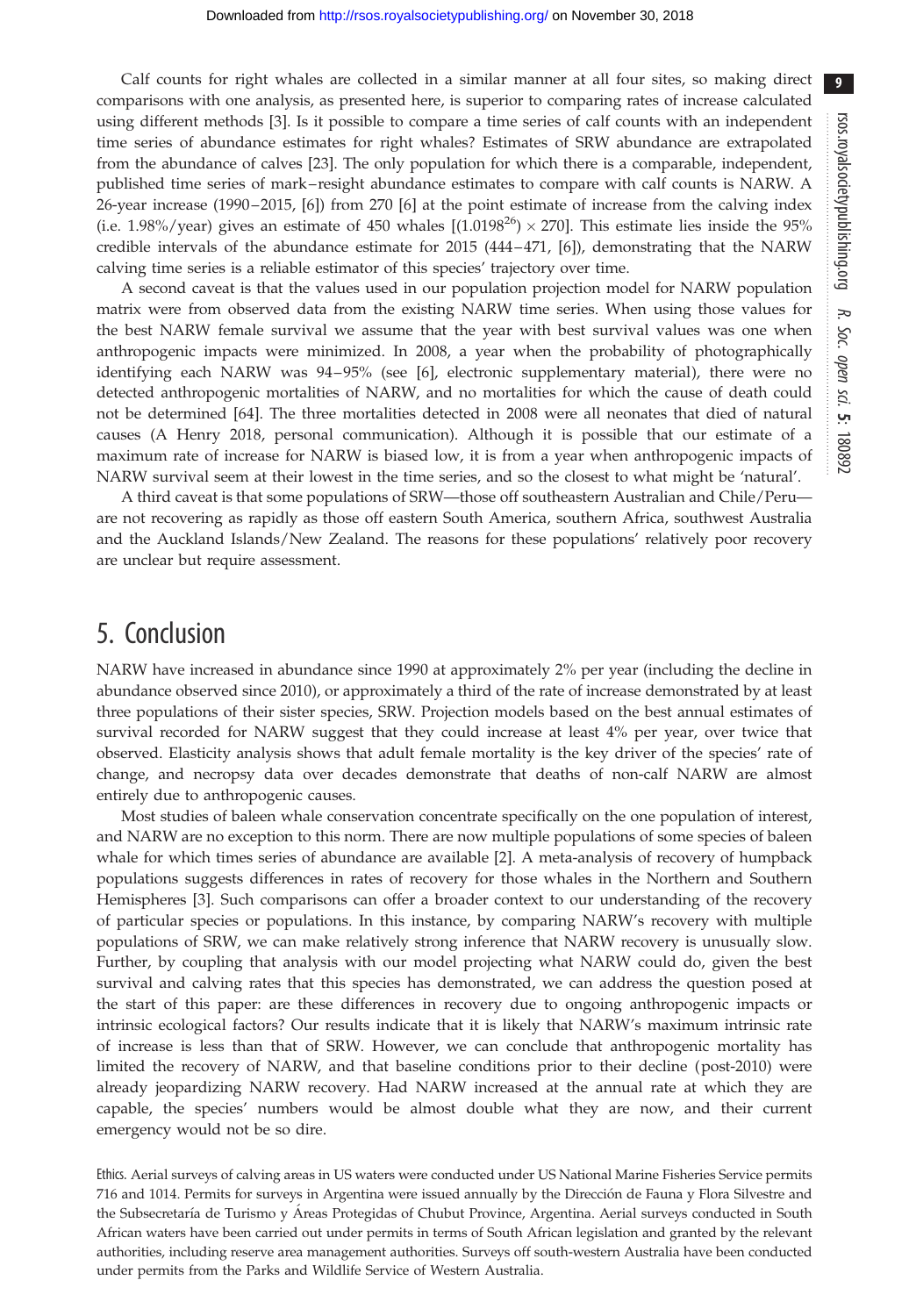Calf counts for right whales are collected in a similar manner at all four sites, so making direct comparisons with one analysis, as presented here, is superior to comparing rates of increase calculated using different methods [\[3\]](#page-9-0). Is it possible to compare a time series of calf counts with an independent time series of abundance estimates for right whales? Estimates of SRW abundance are extrapolated from the abundance of calves [[23\]](#page-10-0). The only population for which there is a comparable, independent, published time series of mark – resight abundance estimates to compare with calf counts is NARW. A 26-year increase (1990 –2015, [\[6\]](#page-9-0)) from 270 [[6](#page-9-0)] at the point estimate of increase from the calving index (i.e. 1.98%/year) gives an estimate of 450 whales  $[(1.0198^{26}) \times 270]$ . This estimate lies inside the 95% credible intervals of the abundance estimate for 2015 (444–471, [[6](#page-9-0)]), demonstrating that the NARW calving time series is a reliable estimator of this species' trajectory over time.

A second caveat is that the values used in our population projection model for NARW population matrix were from observed data from the existing NARW time series. When using those values for the best NARW female survival we assume that the year with best survival values was one when anthropogenic impacts were minimized. In 2008, a year when the probability of photographically identifying each NARW was 94–95% (see [\[6\]](#page-9-0), electronic supplementary material), there were no detected anthropogenic mortalities of NARW, and no mortalities for which the cause of death could not be determined [\[64](#page-11-0)]. The three mortalities detected in 2008 were all neonates that died of natural causes (A Henry 2018, personal communication). Although it is possible that our estimate of a maximum rate of increase for NARW is biased low, it is from a year when anthropogenic impacts of NARW survival seem at their lowest in the time series, and so the closest to what might be 'natural'.

A third caveat is that some populations of SRW—those off southeastern Australian and Chile/Peru are not recovering as rapidly as those off eastern South America, southern Africa, southwest Australia and the Auckland Islands/New Zealand. The reasons for these populations' relatively poor recovery are unclear but require assessment.

# 5. Conclusion

NARW have increased in abundance since 1990 at approximately 2% per year (including the decline in abundance observed since 2010), or approximately a third of the rate of increase demonstrated by at least three populations of their sister species, SRW. Projection models based on the best annual estimates of survival recorded for NARW suggest that they could increase at least 4% per year, over twice that observed. Elasticity analysis shows that adult female mortality is the key driver of the species' rate of change, and necropsy data over decades demonstrate that deaths of non-calf NARW are almost entirely due to anthropogenic causes.

Most studies of baleen whale conservation concentrate specifically on the one population of interest, and NARW are no exception to this norm. There are now multiple populations of some species of baleen whale for which times series of abundance are available [[2](#page-9-0)]. A meta-analysis of recovery of humpback populations suggests differences in rates of recovery for those whales in the Northern and Southern Hemispheres [[3](#page-9-0)]. Such comparisons can offer a broader context to our understanding of the recovery of particular species or populations. In this instance, by comparing NARW's recovery with multiple populations of SRW, we can make relatively strong inference that NARW recovery is unusually slow. Further, by coupling that analysis with our model projecting what NARW could do, given the best survival and calving rates that this species has demonstrated, we can address the question posed at the start of this paper: are these differences in recovery due to ongoing anthropogenic impacts or intrinsic ecological factors? Our results indicate that it is likely that NARW's maximum intrinsic rate of increase is less than that of SRW. However, we can conclude that anthropogenic mortality has limited the recovery of NARW, and that baseline conditions prior to their decline (post-2010) were already jeopardizing NARW recovery. Had NARW increased at the annual rate at which they are capable, the species' numbers would be almost double what they are now, and their current emergency would not be so dire.

Ethics. Aerial surveys of calving areas in US waters were conducted under US National Marine Fisheries Service permits 716 and 1014. Permits for surveys in Argentina were issued annually by the Dirección de Fauna y Flora Silvestre and the Subsecretaría de Turismo y Areas Protegidas of Chubut Province, Argentina. Aerial surveys conducted in South African waters have been carried out under permits in terms of South African legislation and granted by the relevant authorities, including reserve area management authorities. Surveys off south-western Australia have been conducted under permits from the Parks and Wildlife Service of Western Australia.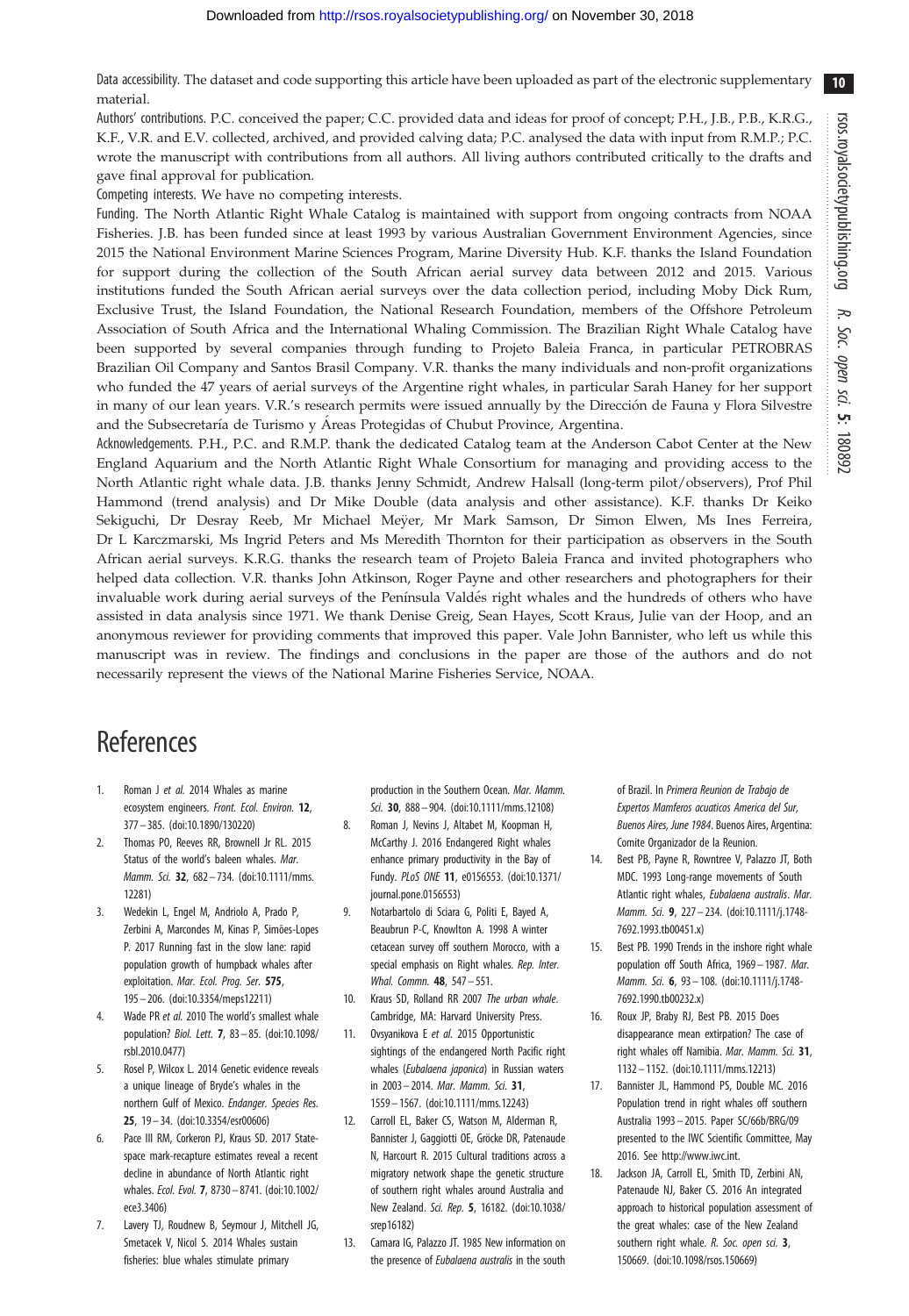<span id="page-9-0"></span>Data accessibility. The dataset and code supporting this article have been uploaded as part of the electronic supplementary material.

Authors' contributions. P.C. conceived the paper; C.C. provided data and ideas for proof of concept; P.H., J.B., P.B., K.R.G., K.F., V.R. and E.V. collected, archived, and provided calving data; P.C. analysed the data with input from R.M.P.; P.C. wrote the manuscript with contributions from all authors. All living authors contributed critically to the drafts and gave final approval for publication.

Competing interests. We have no competing interests.

Funding. The North Atlantic Right Whale Catalog is maintained with support from ongoing contracts from NOAA Fisheries. J.B. has been funded since at least 1993 by various Australian Government Environment Agencies, since 2015 the National Environment Marine Sciences Program, Marine Diversity Hub. K.F. thanks the Island Foundation for support during the collection of the South African aerial survey data between 2012 and 2015. Various institutions funded the South African aerial surveys over the data collection period, including Moby Dick Rum, Exclusive Trust, the Island Foundation, the National Research Foundation, members of the Offshore Petroleum Association of South Africa and the International Whaling Commission. The Brazilian Right Whale Catalog have been supported by several companies through funding to Projeto Baleia Franca, in particular PETROBRAS Brazilian Oil Company and Santos Brasil Company. V.R. thanks the many individuals and non-profit organizations who funded the 47 years of aerial surveys of the Argentine right whales, in particular Sarah Haney for her support in many of our lean years. V.R.'s research permits were issued annually by the Dirección de Fauna y Flora Silvestre and the Subsecretaría de Turismo y Áreas Protegidas of Chubut Province, Argentina.

Acknowledgements. P.H., P.C. and R.M.P. thank the dedicated Catalog team at the Anderson Cabot Center at the New England Aquarium and the North Atlantic Right Whale Consortium for managing and providing access to the North Atlantic right whale data. J.B. thanks Jenny Schmidt, Andrew Halsall (long-term pilot/observers), Prof Phil Hammond (trend analysis) and Dr Mike Double (data analysis and other assistance). K.F. thanks Dr Keiko Sekiguchi, Dr Desray Reeb, Mr Michael Meÿer, Mr Mark Samson, Dr Simon Elwen, Ms Ines Ferreira, Dr L Karczmarski, Ms Ingrid Peters and Ms Meredith Thornton for their participation as observers in the South African aerial surveys. K.R.G. thanks the research team of Projeto Baleia Franca and invited photographers who helped data collection. V.R. thanks John Atkinson, Roger Payne and other researchers and photographers for their invaluable work during aerial surveys of the Península Valdés right whales and the hundreds of others who have assisted in data analysis since 1971. We thank Denise Greig, Sean Hayes, Scott Kraus, Julie van der Hoop, and an anonymous reviewer for providing comments that improved this paper. Vale John Bannister, who left us while this manuscript was in review. The findings and conclusions in the paper are those of the authors and do not necessarily represent the views of the National Marine Fisheries Service, NOAA.

# References

- 1. Roman J et al. 2014 Whales as marine ecosystem engineers. Front. Ecol. Environ. 12, 377– 385. ([doi:10.1890/130220\)](http://dx.doi.org/10.1890/130220)
- 2. Thomas PO, Reeves RR, Brownell Jr RL. 2015 Status of the world's baleen whales. Mar. Mamm. Sci. 32, 682-734. ([doi:10.1111/mms.](http://dx.doi.org/10.1111/mms.12281) [12281](http://dx.doi.org/10.1111/mms.12281))
- 3. Wedekin L, Engel M, Andriolo A, Prado P, Zerbini A, Marcondes M, Kinas P, Simões-Lopes P. 2017 Running fast in the slow lane: rapid population growth of humpback whales after exploitation. Mar. Ecol. Prog. Ser. 575, 195– 206. ([doi:10.3354/meps12211](http://dx.doi.org/10.3354/meps12211))
- Wade PR et al. 2010 The world's smallest whale population? Biol. Lett. 7, 83– 85. [\(doi:10.1098/](http://dx.doi.org/10.1098/rsbl.2010.0477) [rsbl.2010.0477\)](http://dx.doi.org/10.1098/rsbl.2010.0477)
- 5. Rosel P, Wilcox L. 2014 Genetic evidence reveals a unique lineage of Bryde's whales in the northern Gulf of Mexico. Endanger. Species Res. 25, 19 – 34. ([doi:10.3354/esr00606](http://dx.doi.org/10.3354/esr00606))
- 6. Pace III RM, Corkeron PJ, Kraus SD. 2017 Statespace mark-recapture estimates reveal a recent decline in abundance of North Atlantic right whales. Ecol. Evol. 7, 8730 – 8741. [\(doi:10.1002/](http://dx.doi.org/10.1002/ece3.3406) [ece3.3406](http://dx.doi.org/10.1002/ece3.3406))
- 7. Lavery TJ, Roudnew B, Seymour J, Mitchell JG, Smetacek V, Nicol S. 2014 Whales sustain fisheries: blue whales stimulate primary

production in the Southern Ocean. Mar. Mamm. Sci. 30, 888– 904. ([doi:10.1111/mms.12108](http://dx.doi.org/10.1111/mms.12108))

- 8. Roman J, Nevins J, Altabet M, Koopman H, McCarthy J. 2016 Endangered Right whales enhance primary productivity in the Bay of Fundy. PLoS ONE 11, e0156553. [\(doi:10.1371/](http://dx.doi.org/10.1371/journal.pone.0156553) [journal.pone.0156553\)](http://dx.doi.org/10.1371/journal.pone.0156553)
- 9. Notarbartolo di Sciara G, Politi E, Bayed A, Beaubrun P-C, Knowlton A. 1998 A winter cetacean survey off southern Morocco, with a special emphasis on Right whales. Rep. Inter. Whal. Commn. **48**, 547-551.
- 10. Kraus SD, Rolland RR 2007 The urban whale. Cambridge, MA: Harvard University Press.
- 11. Ovsyanikova E et al. 2015 Opportunistic sightings of the endangered North Pacific right whales (Eubalaena japonica) in Russian waters in 2003 – 2014. Mar. Mamm. Sci. 31, 1559 – 1567. [\(doi:10.1111/mms.12243\)](http://dx.doi.org/10.1111/mms.12243)
- 12. Carroll EL, Baker CS, Watson M, Alderman R, Bannister J, Gaggiotti OE, Gröcke DR, Patenaude N, Harcourt R. 2015 Cultural traditions across a migratory network shape the genetic structure of southern right whales around Australia and New Zealand. Sci. Rep. 5, 16182. ([doi:10.1038/](http://dx.doi.org/10.1038/srep16182) [srep16182](http://dx.doi.org/10.1038/srep16182))
- 13. Camara IG, Palazzo JT. 1985 New information on the presence of Eubalaena australis in the south

of Brazil. In Primera Reunion de Trabajo de Expertos Mamferos acuaticos America del Sur, Buenos Aires, June 1984. Buenos Aires, Argentina: Comite Organizador de la Reunion.

- 14. Best PB, Payne R, Rowntree V, Palazzo JT, Both MDC. 1993 Long-range movements of South Atlantic right whales, Eubalaena australis. Mar. Mamm. Sci. 9, 227– 234. [\(doi:10.1111/j.1748-](http://dx.doi.org/10.1111/j.1748-7692.1993.tb00451.x) [7692.1993.tb00451.x\)](http://dx.doi.org/10.1111/j.1748-7692.1993.tb00451.x)
- 15. Best PB. 1990 Trends in the inshore right whale population off South Africa, 1969-1987. Mar. Mamm. Sci. 6, 93-108. [\(doi:10.1111/j.1748-](http://dx.doi.org/10.1111/j.1748-7692.1990.tb00232.x) [7692.1990.tb00232.x\)](http://dx.doi.org/10.1111/j.1748-7692.1990.tb00232.x)
- 16. Roux JP, Braby RJ, Best PB. 2015 Does disappearance mean extirpation? The case of right whales off Namibia. Mar. Mamm. Sci. 31, 1132 – 1152. [\(doi:10.1111/mms.12213\)](http://dx.doi.org/10.1111/mms.12213)
- 17. Bannister JL, Hammond PS, Double MC. 2016 Population trend in right whales off southern Australia 1993 – 2015. Paper SC/66b/BRG/09 presented to the IWC Scientific Committee, May 2016. See [http://www.iwc.int.](http://www.iwc.int)
- 18. Jackson JA, Carroll EL, Smith TD, Zerbini AN, Patenaude NJ, Baker CS. 2016 An integrated approach to historical population assessment of the great whales: case of the New Zealand southern right whale. R. Soc. open sci. 3, 150669. [\(doi:10.1098/rsos.150669](http://dx.doi.org/10.1098/rsos.150669))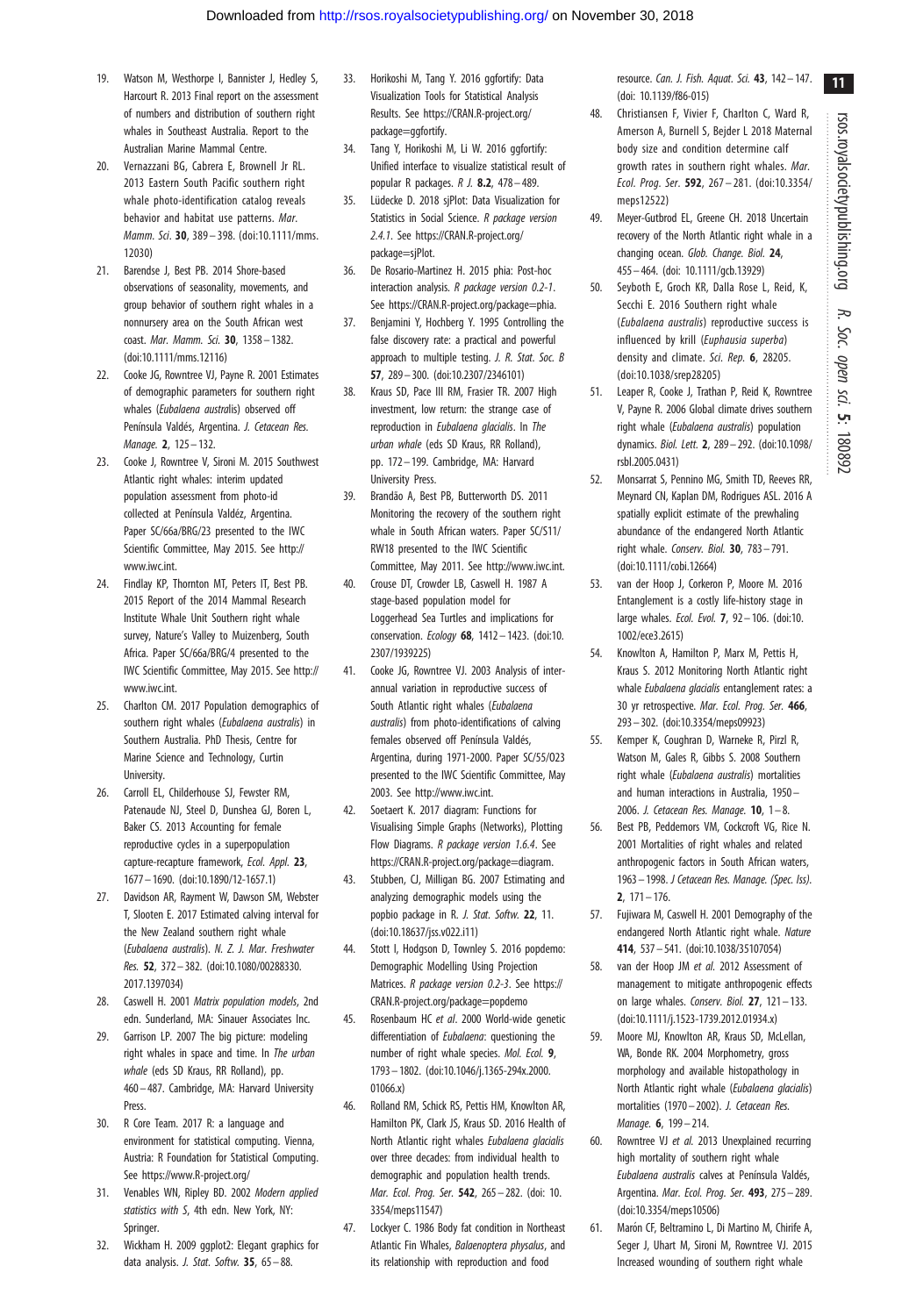- <span id="page-10-0"></span>19. Watson M, Westhorpe I, Bannister J, Hedley S, Harcourt R. 2013 Final report on the assessment of numbers and distribution of southern right whales in Southeast Australia. Report to the Australian Marine Mammal Centre.
- 20. Vernazzani BG, Cabrera E, Brownell Jr RL. 2013 Eastern South Pacific southern right whale photo-identification catalog reveals behavior and habitat use patterns. Mar. Mamm. Sci. 30, 389-398. [\(doi:10.1111/mms.](http://dx.doi.org/10.1111/mms.12030) [12030\)](http://dx.doi.org/10.1111/mms.12030)
- 21. Barendse J, Best PB. 2014 Shore-based observations of seasonality, movements, and group behavior of southern right whales in a nonnursery area on the South African west coast. Mar. Mamm. Sci. 30, 1358-1382. ([doi:10.1111/mms.12116\)](http://dx.doi.org/10.1111/mms.12116)
- 22. Cooke JG, Rowntree VJ, Payne R. 2001 Estimates of demographic parameters for southern right whales (Eubalaena australis) observed off Península Valdés, Argentina. J. Cetacean Res. Manage. 2, 125– 132.
- 23. Cooke J, Rowntree V, Sironi M. 2015 Southwest Atlantic right whales: interim updated population assessment from photo-id collected at Península Valdéz, Argentina. Paper SC/66a/BRG/23 presented to the IWC Scientific Committee, May 2015. See [http://](http://www.iwc.int) [www.iwc.int](http://www.iwc.int).
- 24. Findlay KP, Thornton MT, Peters IT, Best PB. 2015 Report of the 2014 Mammal Research Institute Whale Unit Southern right whale survey, Nature's Valley to Muizenberg, South Africa. Paper SC/66a/BRG/4 presented to the IWC Scientific Committee, May 2015. See [http://](http://www.iwc.int) [www.iwc.int](http://www.iwc.int).
- 25. Charlton CM. 2017 Population demographics of southern right whales (Eubalaena australis) in Southern Australia. PhD Thesis, Centre for Marine Science and Technology, Curtin University.
- 26. Carroll EL, Childerhouse SJ, Fewster RM, Patenaude NJ, Steel D, Dunshea GJ, Boren L, Baker CS. 2013 Accounting for female reproductive cycles in a superpopulation capture-recapture framework, Ecol. Appl. 23, 1677 – 1690. ([doi:10.1890/12-1657.1\)](http://dx.doi.org/10.1890/12-1657.1)
- 27. Davidson AR, Rayment W, Dawson SM, Webster T, Slooten E. 2017 Estimated calving interval for the New Zealand southern right whale (Eubalaena australis). N. Z. J. Mar. Freshwater Res. 52, 372– 382. ([doi:10.1080/00288330.](http://dx.doi.org/10.1080/00288330.2017.1397034) [2017.1397034](http://dx.doi.org/10.1080/00288330.2017.1397034))
- 28. Caswell H. 2001 Matrix population models, 2nd edn. Sunderland, MA: Sinauer Associates Inc.
- 29. Garrison LP. 2007 The big picture: modeling right whales in space and time. In The urban whale (eds SD Kraus, RR Rolland), pp. 460– 487. Cambridge, MA: Harvard University Press.
- 30. R Core Team. 2017 R: a language and environment for statistical computing. Vienna, Austria: R Foundation for Statistical Computing. See<https://www.R-project.org/>
- 31. Venables WN, Ripley BD. 2002 Modern applied statistics with S, 4th edn. New York, NY: Springer.
- 32. Wickham H. 2009 ggplot2: Elegant graphics for data analysis. J. Stat. Softw. 35, 65-88.
- 33. Horikoshi M, Tang Y. 2016 ggfortify: Data Visualization Tools for Statistical Analysis Results. See [https://CRAN.R-project.org/](https://CRAN.R-project.org/package=ggfortify) [package=ggfortify](https://CRAN.R-project.org/package=ggfortify).
- 34. Tang Y, Horikoshi M, Li W. 2016 ggfortify: Unified interface to visualize statistical result of popular R packages. R J. 8.2, 478– 489.
- 35. Lüdecke D. 2018 sjPlot: Data Visualization for Statistics in Social Science. R package version 2.4.1. See [https://CRAN.R-project.org/](https://CRAN.R-project.org/package=sjPlot) [package=sjPlot](https://CRAN.R-project.org/package=sjPlot).
- 36. De Rosario-Martinez H. 2015 phia: Post-hoc interaction analysis. R package version 0.2-1. See<https://CRAN.R-project.org/package=phia>.
- 37. Benjamini Y, Hochberg Y. 1995 Controlling the false discovery rate: a practical and powerful approach to multiple testing. J. R. Stat. Soc. B 57, 289– 300. ([doi:10.2307/2346101](http://dx.doi.org/10.2307/2346101))
- 38. Kraus SD, Pace III RM, Frasier TR. 2007 High investment, low return: the strange case of reproduction in Eubalaena glacialis. In The urban whale (eds SD Kraus, RR Rolland), pp. 172– 199. Cambridge, MA: Harvard University Press.
- 39. Brandão A, Best PB, Butterworth DS. 2011 Monitoring the recovery of the southern right whale in South African waters. Paper SC/S11/ RW18 presented to the IWC Scientific Committee, May 2011. See<http://www.iwc.int>.
- 40. Crouse DT, Crowder LB, Caswell H. 1987 A stage-based population model for Loggerhead Sea Turtles and implications for conservation. Ecology 68, 1412 – 1423. [\(doi:10.](http://dx.doi.org/10.2307/1939225) [2307/1939225\)](http://dx.doi.org/10.2307/1939225)
- 41. Cooke JG, Rowntree VJ. 2003 Analysis of interannual variation in reproductive success of South Atlantic right whales (Eubalaena australis) from photo-identifications of calving females observed off Península Valdés, Argentina, during 1971-2000. Paper SC/55/O23 presented to the IWC Scientific Committee, May 2003. See<http://www.iwc.int>.
- 42. Soetaert K. 2017 diagram: Functions for Visualising Simple Graphs (Networks), Plotting Flow Diagrams. R package version 1.6.4. See [https://CRAN.R-project.org/package=diagram.](https://CRAN.R-project.org/package=diagram)
- 43. Stubben, CJ, Milligan BG. 2007 Estimating and analyzing demographic models using the popbio package in R. J. Stat. Softw. 22, 11. ([doi:10.18637/jss.v022.i11\)](http://dx.doi.org/10.18637/jss.v022.i11)
- 44. Stott I, Hodgson D, Townley S. 2016 popdemo: Demographic Modelling Using Projection Matrices. *R package version 0.2-3*. See [https://](https://CRAN.R-project.org/package=popdemo) [CRAN.R-project.org/package=popdemo](https://CRAN.R-project.org/package=popdemo)
- 45. Rosenbaum HC et al. 2000 World-wide genetic differentiation of Eubalaena: questioning the number of right whale species. Mol. Ecol. 9, 1793 – 1802. [\(doi:10.1046/j.1365-294x.2000.](http://dx.doi.org/10.1046/j.1365-294x.2000.01066.x) [01066.x\)](http://dx.doi.org/10.1046/j.1365-294x.2000.01066.x)
- 46. Rolland RM, Schick RS, Pettis HM, Knowlton AR, Hamilton PK, Clark JS, Kraus SD. 2016 Health of North Atlantic right whales Eubalaena glacialis over three decades: from individual health to demographic and population health trends. Mar. Ecol. Prog. Ser. 542, 265– 282. ([doi: 10.](http://dx.doi.org/10.3354/meps11547) [3354/meps11547\)](http://dx.doi.org/10.3354/meps11547)
- 47. Lockyer C. 1986 Body fat condition in Northeast Atlantic Fin Whales, Balaenoptera physalus, and its relationship with reproduction and food

resource. Can. J. Fish. Aquat. Sci. 43, 142-147. [\(doi: 10.1139/f86-015\)](http://dx.doi.org/10.1139/f86-015)

- 48. Christiansen F, Vivier F, Charlton C, Ward R, Amerson A, Burnell S, Bejder L 2018 Maternal body size and condition determine calf growth rates in southern right whales. Mar. Ecol. Prog. Ser. 592, 267– 281. ([doi:10.3354/](http://dx.doi.org/10.3354/meps12522) [meps12522](http://dx.doi.org/10.3354/meps12522))
- 49. Meyer-Gutbrod EL, Greene CH. 2018 Uncertain recovery of the North Atlantic right whale in a changing ocean. Glob. Change. Biol. 24, 455– 464. [\(doi: 10.1111/gcb.13929](http://dx.doi.org/10.1111/gcb.13929))
- 50. Seyboth E, Groch KR, Dalla Rose L, Reid, K, Secchi E. 2016 Southern right whale (Eubalaena australis) reproductive success is influenced by krill (Euphausia superba) density and climate. Sci. Rep. 6, 28205. ([doi:10.1038/srep28205](http://dx.doi.org/10.1038/srep28205))
- 51. Leaper R, Cooke J, Trathan P, Reid K, Rowntree V, Payne R. 2006 Global climate drives southern right whale (*Eubalaena australis*) population dynamics. Biol. Lett. 2, 289– 292. ([doi:10.1098/](http://dx.doi.org/10.1098/rsbl.2005.0431) [rsbl.2005.0431](http://dx.doi.org/10.1098/rsbl.2005.0431))
- 52. Monsarrat S, Pennino MG, Smith TD, Reeves RR, Meynard CN, Kaplan DM, Rodrigues ASL. 2016 A spatially explicit estimate of the prewhaling abundance of the endangered North Atlantic right whale. Conserv. Biol. 30, 783– 791. [\(doi:10.1111/cobi.12664\)](http://dx.doi.org/10.1111/cobi.12664)
- 53. van der Hoop J, Corkeron P, Moore M. 2016 Entanglement is a costly life-history stage in large whales. Ecol. Evol. 7, 92– 106. [\(doi:10.](http://dx.doi.org/10.1002/ece3.2615) [1002/ece3.2615\)](http://dx.doi.org/10.1002/ece3.2615)
- 54. Knowlton A, Hamilton P, Marx M, Pettis H, Kraus S. 2012 Monitoring North Atlantic right whale Eubalaena glacialis entanglement rates: a 30 yr retrospective. Mar. Ecol. Prog. Ser. 466, 293– 302. [\(doi:10.3354/meps09923\)](http://dx.doi.org/10.3354/meps09923)
- 55. Kemper K, Coughran D, Warneke R, Pirzl R, Watson M, Gales R, Gibbs S. 2008 Southern right whale (Eubalaena australis) mortalities and human interactions in Australia, 1950 – 2006. J. Cetacean Res. Manage.  $10$ ,  $1 - 8$ .
- 56. Best PB, Peddemors VM, Cockcroft VG, Rice N. 2001 Mortalities of right whales and related anthropogenic factors in South African waters, 1963 – 1998. J Cetacean Res. Manage. (Spec. Iss). 2, 171– 176.
- 57. Fujiwara M, Caswell H. 2001 Demography of the endangered North Atlantic right whale. Nature 414, 537– 541. ([doi:10.1038/35107054](http://dx.doi.org/10.1038/35107054))
- 58. van der Hoop JM et al. 2012 Assessment of management to mitigate anthropogenic effects on large whales. Conserv. Biol. 27, 121– 133. [\(doi:10.1111/j.1523-1739.2012.01934.x\)](http://dx.doi.org/10.1111/j.1523-1739.2012.01934.x)
- 59. Moore MJ, Knowlton AR, Kraus SD, McLellan, WA, Bonde RK. 2004 Morphometry, gross morphology and available histopathology in North Atlantic right whale (Eubalaena glacialis) mortalities (1970 – 2002). J. Cetacean Res. Manage. **6**, 199 - 214.
- 60. Rowntree VJ et al. 2013 Unexplained recurring high mortality of southern right whale Eubalaena australis calves at Península Valdés, Argentina. Mar. Ecol. Prog. Ser. 493, 275 – 289. [\(doi:10.3354/meps10506\)](http://dx.doi.org/10.3354/meps10506)
- 61. Marón CF, Beltramino L, Di Martino M, Chirife A, Seger J, Uhart M, Sironi M, Rowntree VJ. 2015 Increased wounding of southern right whale